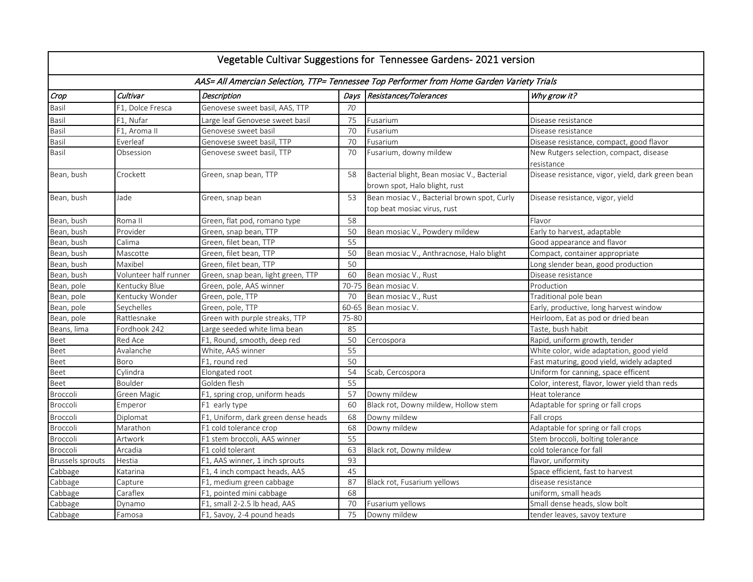| Vegetable Cultivar Suggestions for Tennessee Gardens-2021 version                         |                       |                                     |       |                                                                              |                                                       |  |  |
|-------------------------------------------------------------------------------------------|-----------------------|-------------------------------------|-------|------------------------------------------------------------------------------|-------------------------------------------------------|--|--|
| AAS= All Amercian Selection, TTP= Tennessee Top Performer from Home Garden Variety Trials |                       |                                     |       |                                                                              |                                                       |  |  |
| Crop                                                                                      | Cultivar              | <b>Description</b>                  | Days  | Resistances/Tolerances                                                       | Why grow it?                                          |  |  |
| Basil                                                                                     | F1, Dolce Fresca      | Genovese sweet basil, AAS, TTP      | 70    |                                                                              |                                                       |  |  |
| Basil                                                                                     | F1, Nufar             | Large leaf Genovese sweet basil     | 75    | Fusarium                                                                     | Disease resistance                                    |  |  |
| Basil                                                                                     | F1, Aroma II          | Genovese sweet basil                | 70    | Fusarium                                                                     | Disease resistance                                    |  |  |
| Basil                                                                                     | Everleaf              | Genovese sweet basil, TTP           | 70    | Fusarium                                                                     | Disease resistance, compact, good flavor              |  |  |
| Basil                                                                                     | Obsession             | Genovese sweet basil, TTP           | 70    | Fusarium, downy mildew                                                       | New Rutgers selection, compact, disease<br>resistance |  |  |
| Bean, bush                                                                                | Crockett              | Green, snap bean, TTP               | 58    | Bacterial blight, Bean mosiac V., Bacterial<br>brown spot, Halo blight, rust | Disease resistance, vigor, yield, dark green bean     |  |  |
| Bean, bush                                                                                | Jade                  | Green, snap bean                    | 53    | Bean mosiac V., Bacterial brown spot, Curly<br>top beat mosiac virus, rust   | Disease resistance, vigor, yield                      |  |  |
| Bean, bush                                                                                | Roma II               | Green, flat pod, romano type        | 58    |                                                                              | Flavor                                                |  |  |
| Bean, bush                                                                                | Provider              | Green, snap bean, TTP               | 50    | Bean mosiac V., Powdery mildew                                               | Early to harvest, adaptable                           |  |  |
| Bean, bush                                                                                | Calima                | Green, filet bean, TTP              | 55    |                                                                              | Good appearance and flavor                            |  |  |
| Bean, bush                                                                                | Mascotte              | Green, filet bean, TTP              | 50    | Bean mosiac V., Anthracnose, Halo blight                                     | Compact, container appropriate                        |  |  |
| Bean, bush                                                                                | Maxibel               | Green, filet bean, TTP              | 50    |                                                                              | Long slender bean, good production                    |  |  |
| Bean, bush                                                                                | Volunteer half runner | Green, snap bean, light green, TTP  | 60    | Bean mosiac V., Rust                                                         | Disease resistance                                    |  |  |
| Bean, pole                                                                                | Kentucky Blue         | Green, pole, AAS winner             | 70-75 | Bean mosiac V.                                                               | Production                                            |  |  |
| Bean, pole                                                                                | Kentucky Wonder       | Green, pole, TTP                    | 70    | Bean mosiac V., Rust                                                         | Traditional pole bean                                 |  |  |
| Bean, pole                                                                                | Seychelles            | Green, pole, TTP                    | 60-65 | Bean mosiac V.                                                               | Early, productive, long harvest window                |  |  |
| Bean, pole                                                                                | Rattlesnake           | Green with purple streaks, TTP      | 75-80 |                                                                              | Heirloom, Eat as pod or dried bean                    |  |  |
| Beans, lima                                                                               | Fordhook 242          | Large seeded white lima bean        | 85    |                                                                              | Taste, bush habit                                     |  |  |
| Beet                                                                                      | Red Ace               | F1, Round, smooth, deep red         | 50    | Cercospora                                                                   | Rapid, uniform growth, tender                         |  |  |
| Beet                                                                                      | Avalanche             | White, AAS winner                   | 55    |                                                                              | White color, wide adaptation, good yield              |  |  |
| Beet                                                                                      | Boro                  | F1, round red                       | 50    |                                                                              | Fast maturing, good yield, widely adapted             |  |  |
| Beet                                                                                      | Cylindra              | Elongated root                      | 54    | Scab, Cercospora                                                             | Uniform for canning, space efficent                   |  |  |
| Beet                                                                                      | Boulder               | Golden flesh                        | 55    |                                                                              | Color, interest, flavor, lower yield than reds        |  |  |
| Broccoli                                                                                  | Green Magic           | F1, spring crop, uniform heads      | 57    | Downy mildew                                                                 | Heat tolerance                                        |  |  |
| Broccoli                                                                                  | Emperor               | F1 early type                       | 60    | Black rot, Downy mildew, Hollow stem                                         | Adaptable for spring or fall crops                    |  |  |
| Broccoli                                                                                  | Diplomat              | F1, Uniform, dark green dense heads | 68    | Downy mildew                                                                 | Fall crops                                            |  |  |
| <b>Broccoli</b>                                                                           | Marathon              | F1 cold tolerance crop              | 68    | Downy mildew                                                                 | Adaptable for spring or fall crops                    |  |  |
| Broccoli                                                                                  | Artwork               | F1 stem broccoli, AAS winner        | 55    |                                                                              | Stem broccoli, bolting tolerance                      |  |  |
| Broccoli                                                                                  | Arcadia               | F1 cold tolerant                    | 63    | Black rot, Downy mildew                                                      | cold tolerance for fall                               |  |  |
| <b>Brussels sprouts</b>                                                                   | Hestia                | F1, AAS winner, 1 inch sprouts      | 93    |                                                                              | flavor, uniformity                                    |  |  |
| Cabbage                                                                                   | Katarina              | F1, 4 inch compact heads, AAS       | 45    |                                                                              | Space efficient, fast to harvest                      |  |  |
| Cabbage                                                                                   | Capture               | F1, medium green cabbage            | 87    | Black rot, Fusarium yellows                                                  | disease resistance                                    |  |  |
| Cabbage                                                                                   | Caraflex              | F1, pointed mini cabbage            | 68    |                                                                              | uniform, small heads                                  |  |  |
| Cabbage                                                                                   | Dynamo                | F1, small 2-2.5 lb head, AAS        | 70    | Fusarium yellows                                                             | Small dense heads, slow bolt                          |  |  |
| Cabbage                                                                                   | Famosa                | F1, Savoy, 2-4 pound heads          | 75    | Downy mildew                                                                 | tender leaves, savoy texture                          |  |  |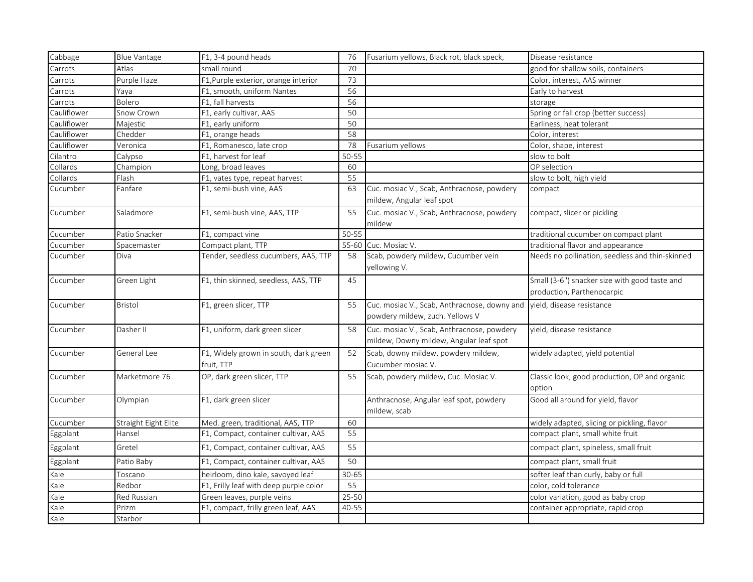| Cabbage     | <b>Blue Vantage</b>  | F1, 3-4 pound heads                                 | 76    | Fusarium yellows, Black rot, black speck,                                             | Disease resistance                                                          |
|-------------|----------------------|-----------------------------------------------------|-------|---------------------------------------------------------------------------------------|-----------------------------------------------------------------------------|
| Carrots     | Atlas                | small round                                         | 70    |                                                                                       | good for shallow soils, containers                                          |
| Carrots     | Purple Haze          | F1, Purple exterior, orange interior                | 73    |                                                                                       | Color, interest, AAS winner                                                 |
| Carrots     | Yaya                 | F1, smooth, uniform Nantes                          | 56    |                                                                                       | Early to harvest                                                            |
| Carrots     | Bolero               | F1, fall harvests                                   | 56    |                                                                                       | storage                                                                     |
| Cauliflower | Snow Crown           | F1, early cultivar, AAS                             | 50    |                                                                                       | Spring or fall crop (better success)                                        |
| Cauliflower | Majestic             | F1, early uniform                                   | 50    |                                                                                       | Earliness, heat tolerant                                                    |
| Cauliflower | Chedder              | F1, orange heads                                    | 58    |                                                                                       | Color, interest                                                             |
| Cauliflower | Veronica             | F1, Romanesco, late crop                            | 78    | Fusarium yellows                                                                      | Color, shape, interest                                                      |
| Cilantro    | Calypso              | F1, harvest for leaf                                | 50-55 |                                                                                       | slow to bolt                                                                |
| Collards    | Champion             | Long, broad leaves                                  | 60    |                                                                                       | OP selection                                                                |
| Collards    | Flash                | F1, vates type, repeat harvest                      | 55    |                                                                                       | slow to bolt, high yield                                                    |
| Cucumber    | Fanfare              | F1, semi-bush vine, AAS                             | 63    | Cuc. mosiac V., Scab, Anthracnose, powdery                                            | compact                                                                     |
|             |                      |                                                     |       | mildew, Angular leaf spot                                                             |                                                                             |
| Cucumber    | Saladmore            | F1, semi-bush vine, AAS, TTP                        | 55    | Cuc. mosiac V., Scab, Anthracnose, powdery<br>mildew                                  | compact, slicer or pickling                                                 |
| Cucumber    | Patio Snacker        | F1, compact vine                                    | 50-55 |                                                                                       | traditional cucumber on compact plant                                       |
| Cucumber    | Spacemaster          | Compact plant, TTP                                  | 55-60 | Cuc. Mosiac V.                                                                        | traditional flavor and appearance                                           |
| Cucumber    | Diva                 | Tender, seedless cucumbers, AAS, TTP                | 58    | Scab, powdery mildew, Cucumber vein<br>yellowing V.                                   | Needs no pollination, seedless and thin-skinned                             |
| Cucumber    | Green Light          | F1, thin skinned, seedless, AAS, TTP                | 45    |                                                                                       | Small (3-6") snacker size with good taste and<br>production, Parthenocarpic |
| Cucumber    | Bristol              | F1, green slicer, TTP                               | 55    | Cuc. mosiac V., Scab, Anthracnose, downy and<br>powdery mildew, zuch. Yellows V       | vield, disease resistance                                                   |
| Cucumber    | Dasher II            | F1, uniform, dark green slicer                      | 58    | Cuc. mosiac V., Scab, Anthracnose, powdery<br>mildew, Downy mildew, Angular leaf spot | vield, disease resistance                                                   |
| Cucumber    | General Lee          | F1, Widely grown in south, dark green<br>fruit, TTP | 52    | Scab, downy mildew, powdery mildew,<br>Cucumber mosiac V.                             | widely adapted, yield potential                                             |
| Cucumber    | Marketmore 76        | OP, dark green slicer, TTP                          | 55    | Scab, powdery mildew, Cuc. Mosiac V.                                                  | Classic look, good production, OP and organic<br>option                     |
| Cucumber    | Olympian             | F1, dark green slicer                               |       | Anthracnose, Angular leaf spot, powdery<br>mildew, scab                               | Good all around for yield, flavor                                           |
| Cucumber    | Straight Eight Elite | Med. green, traditional, AAS, TTP                   | 60    |                                                                                       | widely adapted, slicing or pickling, flavor                                 |
| Eggplant    | Hansel               | F1, Compact, container cultivar, AAS                | 55    |                                                                                       | compact plant, small white fruit                                            |
| Eggplant    | Gretel               | F1, Compact, container cultivar, AAS                | 55    |                                                                                       | compact plant, spineless, small fruit                                       |
| Eggplant    | Patio Baby           | F1, Compact, container cultivar, AAS                | 50    |                                                                                       | compact plant, small fruit                                                  |
| Kale        | Toscano              | heirloom, dino kale, savoyed leaf                   | 30-65 |                                                                                       | softer leaf than curly, baby or full                                        |
| Kale        | Redbor               | F1, Frilly leaf with deep purple color              | 55    |                                                                                       | color, cold tolerance                                                       |
| Kale        | Red Russian          | Green leaves, purple veins                          | 25-50 |                                                                                       | color variation, good as baby crop                                          |
| Kale        | Prizm                | F1, compact, frilly green leaf, AAS                 | 40-55 |                                                                                       | container appropriate, rapid crop                                           |
| Kale        | Starbor              |                                                     |       |                                                                                       |                                                                             |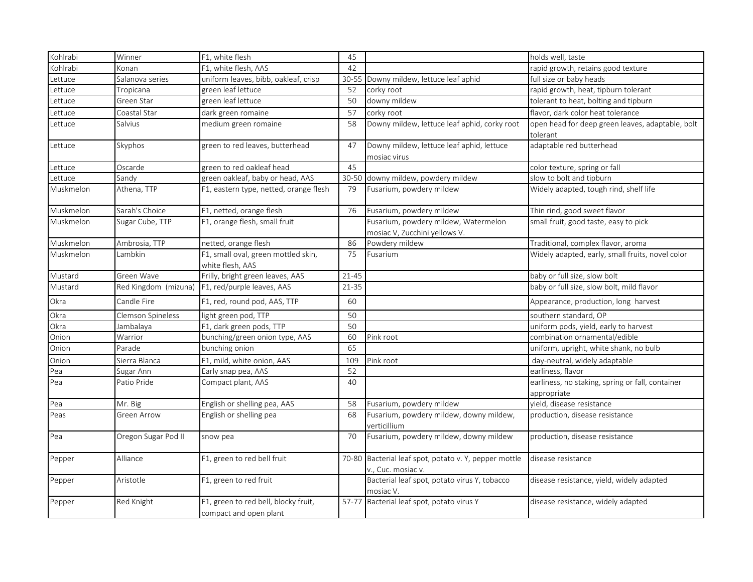| Kohlrabi  | Winner               | $\overline{F1}$ , white flesh                                  | 45        |                                                                       | holds well, taste                                               |
|-----------|----------------------|----------------------------------------------------------------|-----------|-----------------------------------------------------------------------|-----------------------------------------------------------------|
| Kohlrabi  | Konan                | F1, white flesh, AAS                                           | 42        |                                                                       | rapid growth, retains good texture                              |
| Lettuce   | Salanova series      | uniform leaves, bibb, oakleaf, crisp                           | 30-55     | Downy mildew, lettuce leaf aphid                                      | full size or baby heads                                         |
| Lettuce   | Tropicana            | green leaf lettuce                                             | 52        | corky root                                                            | rapid growth, heat, tipburn tolerant                            |
| Lettuce   | Green Star           | green leaf lettuce                                             | 50        | downy mildew                                                          | tolerant to heat, bolting and tipburn                           |
| Lettuce   | Coastal Star         | dark green romaine                                             | 57        | corky root                                                            | flavor, dark color heat tolerance                               |
| Lettuce   | Salvius              | medium green romaine                                           | 58        | Downy mildew, lettuce leaf aphid, corky root                          | open head for deep green leaves, adaptable, bolt<br>tolerant    |
| Lettuce   | Skyphos              | green to red leaves, butterhead                                | 47        | Downy mildew, lettuce leaf aphid, lettuce<br>mosiac virus             | adaptable red butterhead                                        |
| Lettuce   | Oscarde              | green to red oakleaf head                                      | 45        |                                                                       | color texture, spring or fall                                   |
| Lettuce   | Sandv                | green oakleaf, baby or head, AAS                               | 30-50     | downy mildew, powdery mildew                                          | slow to bolt and tipburn                                        |
| Muskmelon | Athena, TTP          | F1, eastern type, netted, orange flesh                         | 79        | Fusarium, powdery mildew                                              | Widely adapted, tough rind, shelf life                          |
| Muskmelon | Sarah's Choice       | F1, netted, orange flesh                                       | 76        | Fusarium, powdery mildew                                              | Thin rind, good sweet flavor                                    |
| Muskmelon | Sugar Cube, TTP      | F1, orange flesh, small fruit                                  |           | Fusarium, powdery mildew, Watermelon<br>mosiac V, Zucchini yellows V. | small fruit, good taste, easy to pick                           |
| Muskmelon | Ambrosia, TTP        | netted, orange flesh                                           | 86        | Powdery mildew                                                        | Traditional, complex flavor, aroma                              |
| Muskmelon | Lambkin              | F1, small oval, green mottled skin,<br>white flesh, AAS        | 75        | Fusarium                                                              | Widely adapted, early, small fruits, novel color                |
| Mustard   | Green Wave           | Frilly, bright green leaves, AAS                               | 21-45     |                                                                       | baby or full size, slow bolt                                    |
| Mustard   | Red Kingdom (mizuna) | F1, red/purple leaves, AAS                                     | $21 - 35$ |                                                                       | baby or full size, slow bolt, mild flavor                       |
| Okra      | Candle Fire          | F1, red, round pod, AAS, TTP                                   | 60        |                                                                       | Appearance, production, long harvest                            |
| Okra      | Clemson Spineless    | light green pod, TTP                                           | 50        |                                                                       | southern standard, OP                                           |
| Okra      | Jambalaya            | F1, dark green pods, TTP                                       | 50        |                                                                       | uniform pods, yield, early to harvest                           |
| Onion     | Warrior              | bunching/green onion type, AAS                                 | 60        | Pink root                                                             | combination ornamental/edible                                   |
| Onion     | Parade               | bunching onion                                                 | 65        |                                                                       | uniform, upright, white shank, no bulb                          |
| Onion     | Sierra Blanca        | F1, mild, white onion, AAS                                     | 109       | Pink root                                                             | day-neutral, widely adaptable                                   |
| Pea       | Sugar Ann            | Early snap pea, AAS                                            | 52        |                                                                       | earliness, flavor                                               |
| Pea       | Patio Pride          | Compact plant, AAS                                             | 40        |                                                                       | earliness, no staking, spring or fall, container<br>appropriate |
| Pea       | Mr. Big              | English or shelling pea, AAS                                   | 58        | Fusarium, powdery mildew                                              | yield, disease resistance                                       |
| Peas      | Green Arrow          | English or shelling pea                                        | 68        | Fusarium, powdery mildew, downy mildew,<br>verticillium               | production, disease resistance                                  |
| Pea       | Oregon Sugar Pod II  | snow pea                                                       | 70        | Fusarium, powdery mildew, downy mildew                                | production, disease resistance                                  |
| Pepper    | Alliance             | F1, green to red bell fruit                                    | 70-80     | Bacterial leaf spot, potato v. Y, pepper mottle<br>v., Cuc. mosiac v. | disease resistance                                              |
| Pepper    | Aristotle            | F1, green to red fruit                                         |           | Bacterial leaf spot, potato virus Y, tobacco<br>mosiac V.             | disease resistance, yield, widely adapted                       |
| Pepper    | Red Knight           | F1, green to red bell, blocky fruit,<br>compact and open plant | 57-77     | Bacterial leaf spot, potato virus Y                                   | disease resistance, widely adapted                              |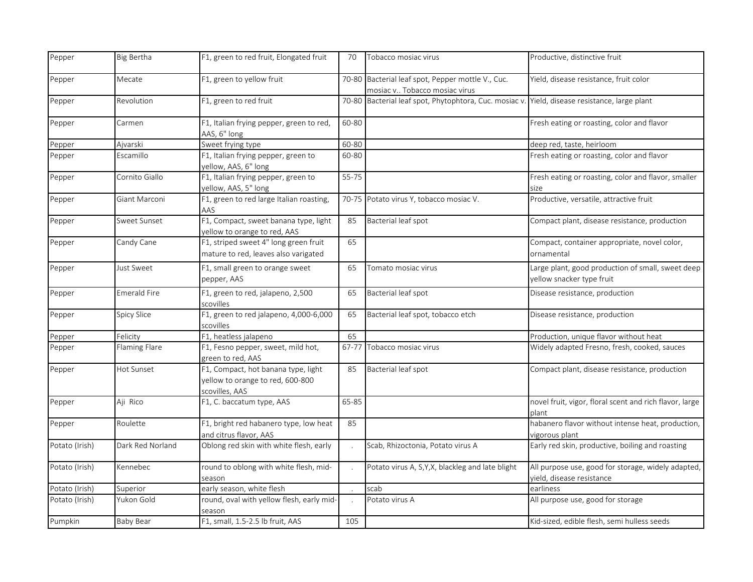| Pepper         | Big Bertha       | F1, green to red fruit, Elongated fruit                                                   | 70        | Tobacco mosiac virus                                                                          | Productive, distinctive fruit                                                   |
|----------------|------------------|-------------------------------------------------------------------------------------------|-----------|-----------------------------------------------------------------------------------------------|---------------------------------------------------------------------------------|
| Pepper         | Mecate           | F1, green to yellow fruit                                                                 |           | 70-80 Bacterial leaf spot, Pepper mottle V., Cuc.<br>mosiac v Tobacco mosiac virus            | Yield, disease resistance, fruit color                                          |
| Pepper         | Revolution       | F1, green to red fruit                                                                    |           | 70-80 Bacterial leaf spot, Phytophtora, Cuc. mosiac v. Yield, disease resistance, large plant |                                                                                 |
| Pepper         | Carmen           | F1, Italian frying pepper, green to red,<br>AAS, 6" long                                  | 60-80     |                                                                                               | Fresh eating or roasting, color and flavor                                      |
| Pepper         | Ajvarski         | Sweet frying type                                                                         | 60-80     |                                                                                               | deep red, taste, heirloom                                                       |
| Pepper         | Escamillo        | F1, Italian frying pepper, green to<br>yellow, AAS, 6" long                               | 60-80     |                                                                                               | Fresh eating or roasting, color and flavor                                      |
| Pepper         | Cornito Giallo   | F1, Italian frying pepper, green to<br>yellow, AAS, 5" long                               | $55 - 75$ |                                                                                               | Fresh eating or roasting, color and flavor, smaller<br>size                     |
| Pepper         | Giant Marconi    | F1, green to red large Italian roasting,<br>AAS                                           |           | 70-75 Potato virus Y, tobacco mosiac V.                                                       | Productive, versatile, attractive fruit                                         |
| Pepper         | Sweet Sunset     | F1, Compact, sweet banana type, light<br>yellow to orange to red, AAS                     | 85        | Bacterial leaf spot                                                                           | Compact plant, disease resistance, production                                   |
| Pepper         | Candy Cane       | F1, striped sweet 4" long green fruit<br>mature to red, leaves also varigated             | 65        |                                                                                               | Compact, container appropriate, novel color,<br>ornamental                      |
| Pepper         | Just Sweet       | F1, small green to orange sweet<br>pepper, AAS                                            | 65        | Tomato mosiac virus                                                                           | Large plant, good production of small, sweet deep<br>yellow snacker type fruit  |
| Pepper         | Emerald Fire     | F1, green to red, jalapeno, 2,500<br>scovilles                                            | 65        | Bacterial leaf spot                                                                           | Disease resistance, production                                                  |
| Pepper         | Spicy Slice      | F1, green to red jalapeno, 4,000-6,000<br>scovilles                                       | 65        | Bacterial leaf spot, tobacco etch                                                             | Disease resistance, production                                                  |
| Pepper         | Felicity         | F1, heatless jalapeno                                                                     | 65        |                                                                                               | Production, unique flavor without heat                                          |
| Pepper         | Flaming Flare    | F1, Fesno pepper, sweet, mild hot,<br>green to red, AAS                                   | 67-77     | Tobacco mosiac virus                                                                          | Widely adapted Fresno, fresh, cooked, sauces                                    |
| Pepper         | Hot Sunset       | F1, Compact, hot banana type, light<br>yellow to orange to red, 600-800<br>scovilles, AAS | 85        | Bacterial leaf spot                                                                           | Compact plant, disease resistance, production                                   |
| Pepper         | Aji Rico         | F1, C. baccatum type, AAS                                                                 | 65-85     |                                                                                               | novel fruit, vigor, floral scent and rich flavor, large<br>plant                |
| Pepper         | Roulette         | F1, bright red habanero type, low heat<br>and citrus flavor, AAS                          | 85        |                                                                                               | habanero flavor without intense heat, production,<br>vigorous plant             |
| Potato (Irish) | Dark Red Norland | Oblong red skin with white flesh, early                                                   |           | Scab, Rhizoctonia, Potato virus A                                                             | Early red skin, productive, boiling and roasting                                |
| Potato (Irish) | Kennebec         | round to oblong with white flesh, mid-<br>season                                          |           | Potato virus A, S, Y, X, blackleg and late blight                                             | All purpose use, good for storage, widely adapted,<br>vield, disease resistance |
| Potato (Irish) | Superior         | early season, white flesh                                                                 |           | scab                                                                                          | earliness                                                                       |
| Potato (Irish) | Yukon Gold       | round, oval with yellow flesh, early mid-<br>season                                       |           | Potato virus A                                                                                | All purpose use, good for storage                                               |
| Pumpkin        | <b>Baby Bear</b> | F1, small, 1.5-2.5 lb fruit, AAS                                                          | 105       |                                                                                               | Kid-sized, edible flesh, semi hulless seeds                                     |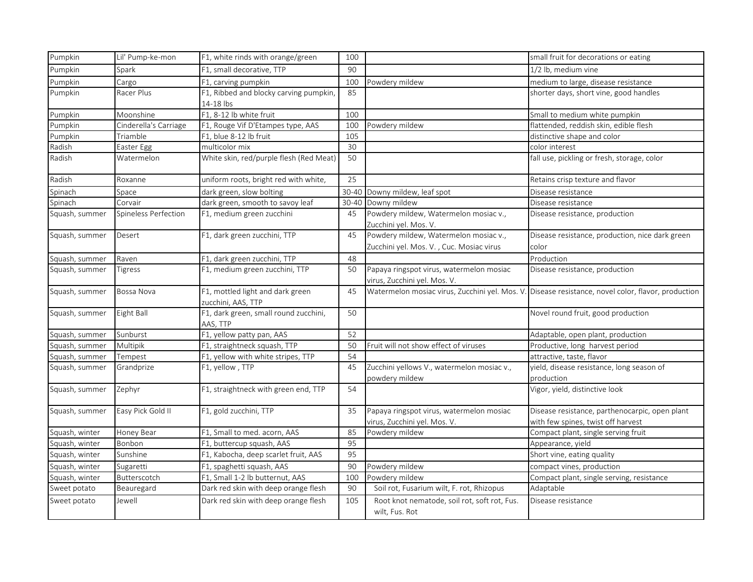| Pumpkin        | Lil' Pump-ke-mon      | F1, white rinds with orange/green                      | 100   |                                                                                   | small fruit for decorations or eating                                                |
|----------------|-----------------------|--------------------------------------------------------|-------|-----------------------------------------------------------------------------------|--------------------------------------------------------------------------------------|
| Pumpkin        | Spark                 | F1, small decorative, TTP                              | 90    |                                                                                   | 1/2 lb, medium vine                                                                  |
| Pumpkin        | Cargo                 | F1, carving pumpkin                                    | 100   | Powdery mildew                                                                    | medium to large, disease resistance                                                  |
| Pumpkin        | Racer Plus            | F1, Ribbed and blocky carving pumpkin,<br>14-18 lbs    | 85    |                                                                                   | shorter days, short vine, good handles                                               |
| Pumpkin        | Moonshine             | F1, 8-12 lb white fruit                                | 100   |                                                                                   | Small to medium white pumpkin                                                        |
| Pumpkin        | Cinderella's Carriage | F1, Rouge Vif D'Etampes type, AAS                      | 100   | Powdery mildew                                                                    | flattended, reddish skin, edible flesh                                               |
| Pumpkin        | Triamble              | F1, blue 8-12 lb fruit                                 | 105   |                                                                                   | distinctive shape and color                                                          |
| Radish         | Easter Egg            | multicolor mix                                         | 30    |                                                                                   | color interest                                                                       |
| Radish         | Watermelon            | White skin, red/purple flesh (Red Meat)                | 50    |                                                                                   | fall use, pickling or fresh, storage, color                                          |
| Radish         | Roxanne               | uniform roots, bright red with white,                  | 25    |                                                                                   | Retains crisp texture and flavor                                                     |
| Spinach        | Space                 | dark green, slow bolting                               | 30-40 | Downy mildew, leaf spot                                                           | Disease resistance                                                                   |
| Spinach        | Corvair               | dark green, smooth to savoy leaf                       | 30-40 | Downy mildew                                                                      | Disease resistance                                                                   |
| Squash, summer | Spineless Perfection  | F1, medium green zucchini                              | 45    | Powdery mildew, Watermelon mosiac v.,<br>Zucchini yel. Mos. V.                    | Disease resistance, production                                                       |
| Squash, summer | Desert                | F1, dark green zucchini, TTP                           | 45    | Powdery mildew, Watermelon mosiac v.,<br>Zucchini yel. Mos. V., Cuc. Mosiac virus | Disease resistance, production, nice dark green<br>color                             |
| Squash, summer | Raven                 | F1, dark green zucchini, TTP                           | 48    |                                                                                   | Production                                                                           |
| Squash, summer | Tigress               | F1, medium green zucchini, TTP                         | 50    | Papaya ringspot virus, watermelon mosiac<br>virus, Zucchini yel. Mos. V.          | Disease resistance, production                                                       |
| Squash, summer | Bossa Nova            | F1, mottled light and dark green<br>zucchini, AAS, TTP | 45    | Watermelon mosiac virus, Zucchini yel. Mos. V                                     | . Disease resistance, novel color, flavor, production                                |
| Squash, summer | Eight Ball            | F1, dark green, small round zucchini,<br>AAS, TTP      | 50    |                                                                                   | Novel round fruit, good production                                                   |
| Squash, summer | Sunburst              | F1, yellow patty pan, AAS                              | 52    |                                                                                   | Adaptable, open plant, production                                                    |
| Squash, summer | Multipik              | F1, straightneck squash, TTP                           | 50    | Fruit will not show effect of viruses                                             | Productive, long harvest period                                                      |
| Squash, summer | Tempest               | F1, yellow with white stripes, TTP                     | 54    |                                                                                   | attractive, taste, flavor                                                            |
| Squash, summer | Grandprize            | F1, yellow, TTP                                        | 45    | Zucchini yellows V., watermelon mosiac v.,<br>powdery mildew                      | yield, disease resistance, long season of<br>production                              |
| Squash, summer | Zephyr                | F1, straightneck with green end, TTP                   | 54    |                                                                                   | Vigor, yield, distinctive look                                                       |
| Squash, summer | Easy Pick Gold II     | F1, gold zucchini, TTP                                 | 35    | Papaya ringspot virus, watermelon mosiac<br>virus, Zucchini yel. Mos. V.          | Disease resistance, parthenocarpic, open plant<br>with few spines, twist off harvest |
| Squash, winter | Honey Bear            | F1, Small to med. acorn, AAS                           | 85    | Powdery mildew                                                                    | Compact plant, single serving fruit                                                  |
| Squash, winter | Bonbon                | F1, buttercup squash, AAS                              | 95    |                                                                                   | Appearance, yield                                                                    |
| Squash, winter | Sunshine              | F1, Kabocha, deep scarlet fruit, AAS                   | 95    |                                                                                   | Short vine, eating quality                                                           |
| Squash, winter | Sugaretti             | F1, spaghetti squash, AAS                              | 90    | Powdery mildew                                                                    | compact vines, production                                                            |
| Squash, winter | Butterscotch          | F1, Small 1-2 lb butternut, AAS                        | 100   | Powdery mildew                                                                    | Compact plant, single serving, resistance                                            |
| Sweet potato   | Beauregard            | Dark red skin with deep orange flesh                   | 90    | Soil rot, Fusarium wilt, F. rot, Rhizopus                                         | Adaptable                                                                            |
| Sweet potato   | Jewell                | Dark red skin with deep orange flesh                   | 105   | Root knot nematode, soil rot, soft rot, Fus.<br>wilt, Fus. Rot                    | Disease resistance                                                                   |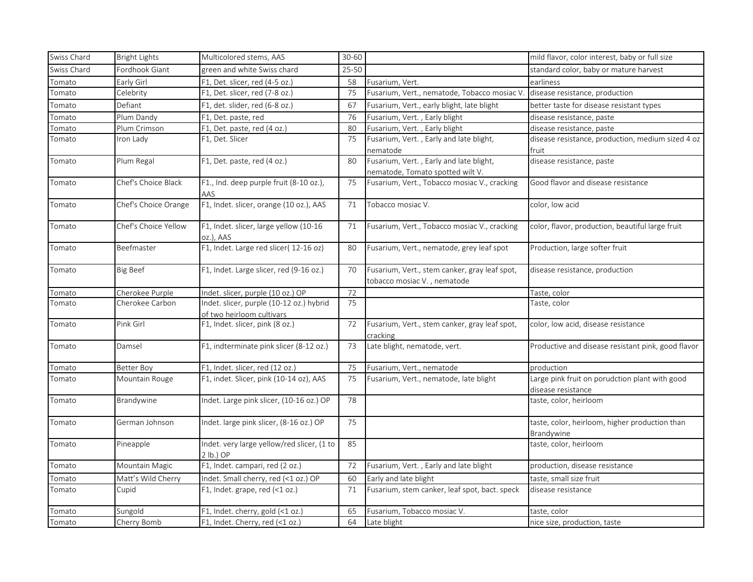| Swiss Chard | <b>Bright Lights</b> | Multicolored stems, AAS                                               | 30-60     |                                                                              | mild flavor, color interest, baby or full size                       |
|-------------|----------------------|-----------------------------------------------------------------------|-----------|------------------------------------------------------------------------------|----------------------------------------------------------------------|
| Swiss Chard | Fordhook Giant       | green and white Swiss chard                                           | $25 - 50$ |                                                                              | standard color, baby or mature harvest                               |
| Tomato      | Early Girl           | F1, Det. slicer, red (4-5 oz.)                                        | 58        | Fusarium, Vert.                                                              | earliness                                                            |
| Tomato      | Celebrity            | F1, Det. slicer, red (7-8 oz.)                                        | 75        | Fusarium, Vert., nematode, Tobacco mosiac V                                  | disease resistance, production                                       |
| Tomato      | Defiant              | F1, det. slider, red (6-8 oz.)                                        | 67        | Fusarium, Vert., early blight, late blight                                   | better taste for disease resistant types                             |
| Tomato      | Plum Dandy           | F1, Det. paste, red                                                   | 76        | Fusarium, Vert., Early blight                                                | disease resistance, paste                                            |
| Tomato      | Plum Crimson         | F1, Det. paste, red (4 oz.)                                           | 80        | Fusarium, Vert., Early blight                                                | disease resistance, paste                                            |
| Tomato      | Iron Lady            | F1, Det. Slicer                                                       | 75        | Fusarium, Vert., Early and late blight,                                      | disease resistance, production, medium sized 4 oz                    |
|             |                      |                                                                       |           | nematode                                                                     | fruit                                                                |
| Tomato      | Plum Regal           | F1, Det. paste, red (4 oz.)                                           | 80        | Fusarium, Vert., Early and late blight,<br>nematode, Tomato spotted wilt V.  | disease resistance, paste                                            |
| Tomato      | Chef's Choice Black  | F1., Ind. deep purple fruit (8-10 oz.),<br>AAS                        | 75        | Fusarium, Vert., Tobacco mosiac V., cracking                                 | Good flavor and disease resistance                                   |
| Tomato      | Chef's Choice Orange | F1, Indet. slicer, orange (10 oz.), AAS                               | 71        | Tobacco mosiac V.                                                            | color, low acid                                                      |
| Tomato      | Chef's Choice Yellow | F1, Indet. slicer, large yellow (10-16<br>oz.), AAS                   | 71        | Fusarium, Vert., Tobacco mosiac V., cracking                                 | color, flavor, production, beautiful large fruit                     |
| Tomato      | Beefmaster           | F1, Indet. Large red slicer( 12-16 oz)                                | 80        | Fusarium, Vert., nematode, grey leaf spot                                    | Production, large softer fruit                                       |
| Tomato      | Big Beef             | F1, Indet. Large slicer, red (9-16 oz.)                               | 70        | Fusarium, Vert., stem canker, gray leaf spot,<br>tobacco mosiac V., nematode | disease resistance, production                                       |
| Tomato      | Cherokee Purple      | Indet. slicer, purple (10 oz.) OP                                     | 72        |                                                                              | Taste, color                                                         |
| Tomato      | Cherokee Carbon      | Indet. slicer, purple (10-12 oz.) hybrid<br>of two heirloom cultivars | 75        |                                                                              | Taste, color                                                         |
| Tomato      | Pink Girl            | F1, Indet. slicer, pink (8 oz.)                                       | 72        | Fusarium, Vert., stem canker, gray leaf spot,<br>cracking                    | color, low acid, disease resistance                                  |
| Tomato      | Damsel               | F1, indterminate pink slicer (8-12 oz.)                               | 73        | Late blight, nematode, vert.                                                 | Productive and disease resistant pink, good flavor                   |
| Tomato      | Better Boy           | F1, Indet. slicer, red (12 oz.)                                       | 75        | Fusarium, Vert., nematode                                                    | production                                                           |
| Tomato      | Mountain Rouge       | F1, indet. Slicer, pink (10-14 oz), AAS                               | 75        | Fusarium, Vert., nematode, late blight                                       | Large pink fruit on porudction plant with good<br>disease resistance |
| Tomato      | Brandywine           | Indet. Large pink slicer, (10-16 oz.) OP                              | 78        |                                                                              | taste, color, heirloom                                               |
| Tomato      | German Johnson       | Indet. large pink slicer, (8-16 oz.) OP                               | 75        |                                                                              | taste, color, heirloom, higher production than<br>Brandywine         |
| Tomato      | Pineapple            | Indet. very large yellow/red slicer, (1 to<br>$2$ lb.) OP             | 85        |                                                                              | taste, color, heirloom                                               |
| Tomato      | Mountain Magic       | F1, Indet. campari, red (2 oz.)                                       | 72        | Fusarium, Vert., Early and late blight                                       | production, disease resistance                                       |
| Tomato      | Matt's Wild Cherry   | Indet. Small cherry, red (<1 oz.) OP                                  | 60        | Early and late blight                                                        | taste, small size fruit                                              |
| Tomato      | Cupid                | F1, Indet. grape, red (<1 oz.)                                        | 71        | Fusarium, stem canker, leaf spot, bact. speck                                | disease resistance                                                   |
| Tomato      | Sungold              | F1, Indet. cherry, gold (<1 oz.)                                      | 65        | Fusarium, Tobacco mosiac V.                                                  | taste, color                                                         |
| Tomato      | Cherry Bomb          | F1, Indet. Cherry, red (<1 oz.)                                       | 64        | Late blight                                                                  | nice size, production, taste                                         |